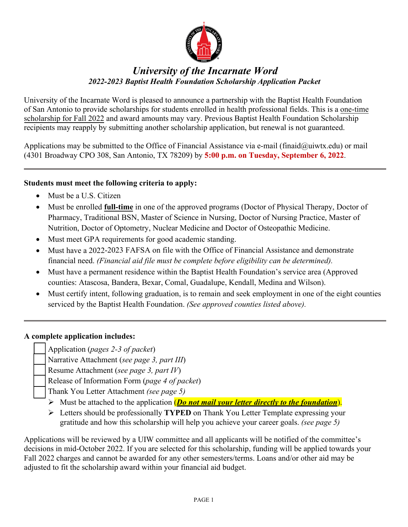

# *University of the Incarnate Word 2022-2023 Baptist Health Foundation Scholarship Application Packet*

University of the Incarnate Word is pleased to announce a partnership with the Baptist Health Foundation of San Antonio to provide scholarships for students enrolled in health professional fields. This is a one-time scholarship for Fall 2022 and award amounts may vary. Previous Baptist Health Foundation Scholarship recipients may reapply by submitting another scholarship application, but renewal is not guaranteed.

Applications may be submitted to the Office of Financial Assistance via e-mail [\(finaid@uiwtx.edu\)](mailto:finaid@uiwtx.edu) or mail (4301 Broadway CPO 308, San Antonio, TX 78209) by **5:00 p.m. on Tuesday, September 6, 2022**.

## **Students must meet the following criteria to apply:**

- Must be a U.S. Citizen
- Must be enrolled **full-time** in one of the approved programs (Doctor of Physical Therapy, Doctor of Pharmacy, Traditional BSN, Master of Science in Nursing, Doctor of Nursing Practice, Master of Nutrition, Doctor of Optometry, Nuclear Medicine and Doctor of Osteopathic Medicine.
- Must meet GPA requirements for good academic standing.
- Must have a 2022-2023 FAFSA on file with the Office of Financial Assistance and demonstrate financial need. *(Financial aid file must be complete before eligibility can be determined).*
- Must have a permanent residence within the Baptist Health Foundation's service area (Approved counties: Atascosa, Bandera, Bexar, Comal, Guadalupe, Kendall, Medina and Wilson).
- Must certify intent, following graduation, is to remain and seek employment in one of the eight counties serviced by the Baptist Health Foundation. *(See approved counties listed above).*

### **A complete application includes:**

\_\_ Application (*pages 2-3 of packet*)

\_\_ Narrative Attachment (*see page 3, part III*)

\_\_ Resume Attachment (*see page 3, part IV*)

\_\_ Release of Information Form (*page 4 of packet*)

\_\_ Thank You Letter Attachment *(see page 5)*

- Must be attached to the application (*Do not mail your letter directly to the foundation*).
- Letters should be professionally **TYPED** on Thank You Letter Template expressing your gratitude and how this scholarship will help you achieve your career goals. *(see page 5)*

Applications will be reviewed by a UIW committee and all applicants will be notified of the committee's decisions in mid-October 2022. If you are selected for this scholarship, funding will be applied towards your Fall 2022 charges and cannot be awarded for any other semesters/terms. Loans and/or other aid may be adjusted to fit the scholarship award within your financial aid budget.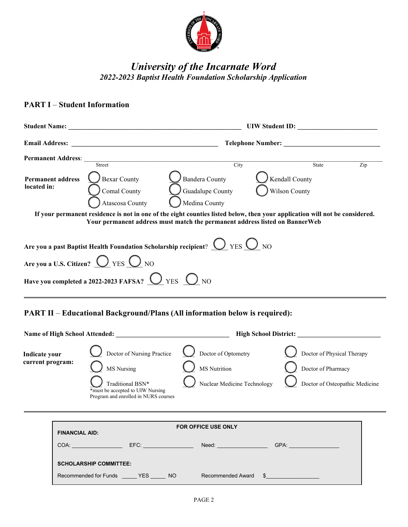

# *University of the Incarnate Word 2022-2023 Baptist Health Foundation Scholarship Application*

#### **PART I** – **Student Information**

**SCHOLARSHIP COMMITTEE:**

| <b>Student Name:</b>                    |                                                                    |                                                                                                                                                                                                                                                                   | UIW Student ID:                 |     |  |
|-----------------------------------------|--------------------------------------------------------------------|-------------------------------------------------------------------------------------------------------------------------------------------------------------------------------------------------------------------------------------------------------------------|---------------------------------|-----|--|
| <b>Email Address:</b>                   | <b>Telephone Number:</b>                                           |                                                                                                                                                                                                                                                                   |                                 |     |  |
| <b>Permanent Address:</b>               | Street                                                             | City                                                                                                                                                                                                                                                              | State                           | Zip |  |
| <b>Permanent address</b><br>located in: | <b>Bexar County</b><br>Comal County<br>Atascosa County             | Bandera County<br>Guadalupe County<br>Medina County<br>If your permanent residence is not in one of the eight counties listed below, then your application will not be considered.<br>Your permanent address must match the permanent address listed on BannerWeb | Kendall County<br>Wilson County |     |  |
|                                         |                                                                    | Are you a past Baptist Health Foundation Scholarship recipient? $\bigcirc$ YES $\bigcirc$ NO                                                                                                                                                                      |                                 |     |  |
|                                         | Are you a U.S. Citizen? $\bigcirc$ YES $\bigcirc$ NO               |                                                                                                                                                                                                                                                                   |                                 |     |  |
|                                         | Have you completed a 2022-2023 FAFSA? $\bigcirc$ YES $\bigcirc$ NO |                                                                                                                                                                                                                                                                   |                                 |     |  |

## **PART II** – **Educational Background/Plans (All information below is required):**

Recommended for Funds \_\_\_\_\_\_ YES \_\_\_\_\_\_ NO Recommended Award \$

| <b>Name of High School Attended:</b>                                                 |  |                                                                                                                                          | <b>High School District:</b>                                       |                                                                                    |  |
|--------------------------------------------------------------------------------------|--|------------------------------------------------------------------------------------------------------------------------------------------|--------------------------------------------------------------------|------------------------------------------------------------------------------------|--|
| Indicate your<br>current program:                                                    |  | Doctor of Nursing Practice<br>MS Nursing<br>Traditional BSN*<br>*must be accepted to UIW Nursing<br>Program and enrolled in NURS courses | Doctor of Optometry<br>MS Nutrition<br>Nuclear Medicine Technology | Doctor of Physical Therapy<br>Doctor of Pharmacy<br>Doctor of Osteopathic Medicine |  |
| <b>FOR OFFICE USE ONLY</b><br><b>FINANCIAL AID:</b><br>COA:<br>EFC:<br>GPA:<br>Need: |  |                                                                                                                                          |                                                                    |                                                                                    |  |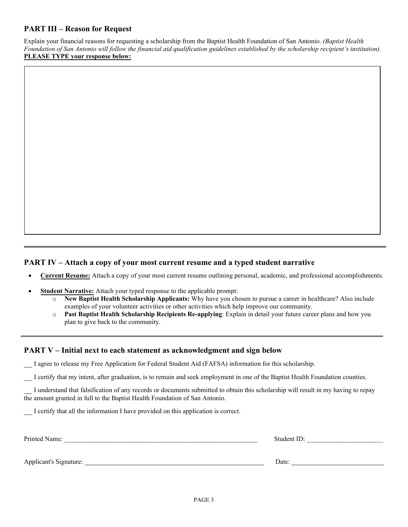## **PART III – Reason for Request**

Explain your financial reasons for requesting a scholarship from the Baptist Health Foundation of San Antonio. *(Baptist Health Foundation of San Antonio will follow the financial aid qualification guidelines established by the scholarship recipient's institution).*  **PLEASE TYPE your response below:** 

## **PART IV – Attach a copy of your most current resume and a typed student narrative**

- **Current Resume:** Attach a copy of your most current resume outlining personal, academic, and professional accomplishments.
- **Student Narrative:** Attach your typed response to the applicable prompt:
	- o **New Baptist Health Scholarship Applicants:** Why have you chosen to pursue a career in healthcare? Also include examples of your volunteer activities or other activities which help improve our community.
	- o **Past Baptist Health Scholarship Recipients Re-applying**: Explain in detail your future career plans and how you plan to give back to the community.

#### **PART V – Initial next to each statement as acknowledgment and sign below**

\_\_ I agree to release my Free Application for Federal Student Aid (FAFSA) information for this scholarship.

\_\_ I certify that my intent, after graduation, is to remain and seek employment in one of the Baptist Health Foundation counties.

\_\_ I understand that falsification of any records or documents submitted to obtain this scholarship will result in my having to repay the amount granted in full to the Baptist Health Foundation of San Antonio.

I certify that all the information I have provided on this application is correct.

| Printed Name:          | Student ID: |
|------------------------|-------------|
|                        |             |
| Applicant's Signature: | Date:       |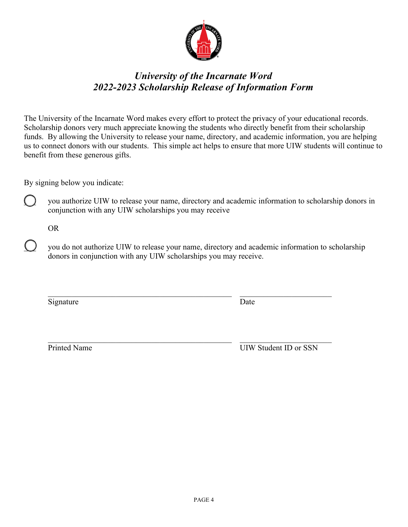

# *University of the Incarnate Word 2022-2023 Scholarship Release of Information Form*

The University of the Incarnate Word makes every effort to protect the privacy of your educational records. Scholarship donors very much appreciate knowing the students who directly benefit from their scholarship funds. By allowing the University to release your name, directory, and academic information, you are helping us to connect donors with our students. This simple act helps to ensure that more UIW students will continue to benefit from these generous gifts.

By signing below you indicate:

you authorize UIW to release your name, directory and academic information to scholarship donors in conjunction with any UIW scholarships you may receive

OR

you do not authorize UIW to release your name, directory and academic information to scholarship donors in conjunction with any UIW scholarships you may receive.

Signature Date

Printed Name UIW Student ID or SSN